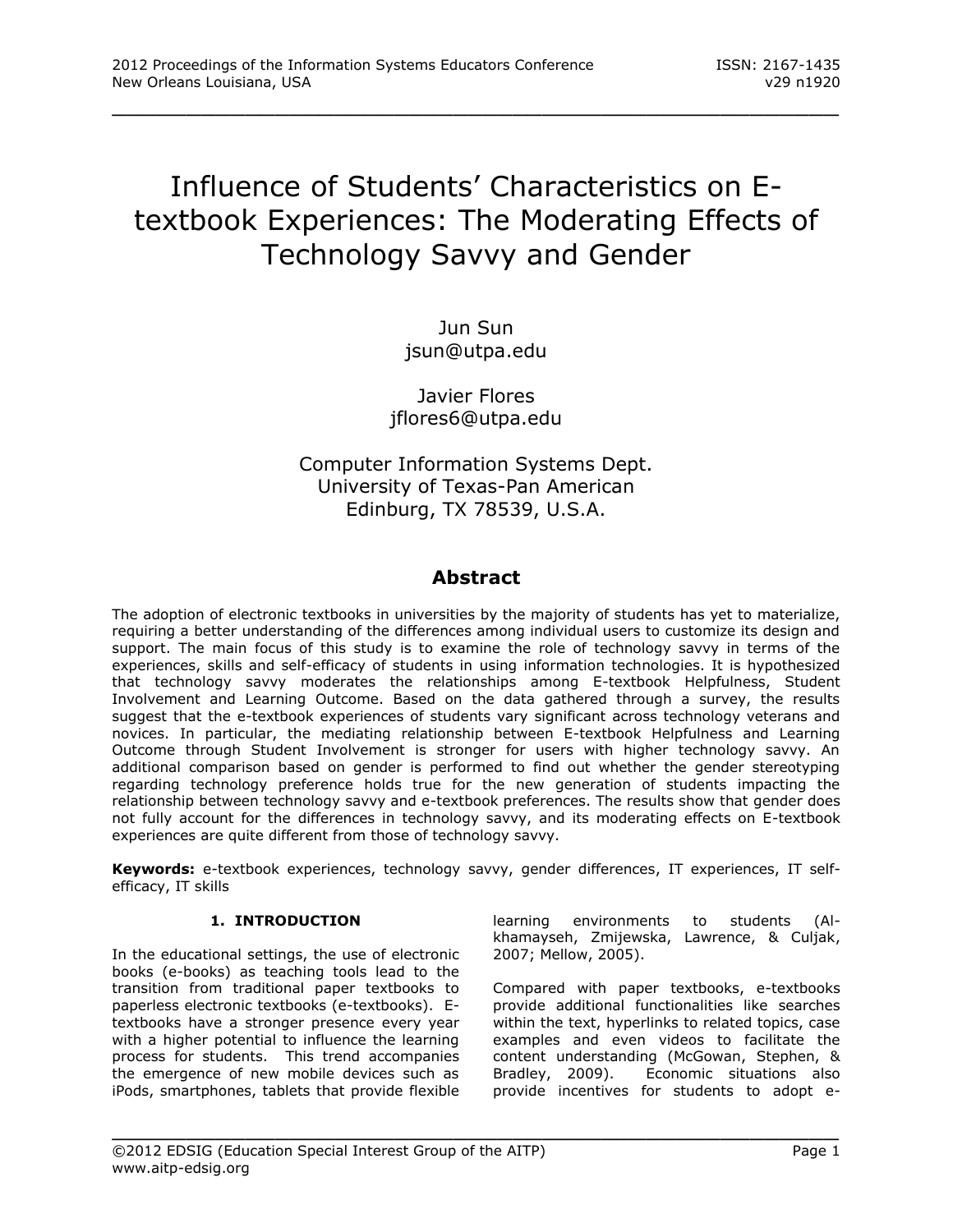# Influence of Students' Characteristics on Etextbook Experiences: The Moderating Effects of Technology Savvy and Gender

\_\_\_\_\_\_\_\_\_\_\_\_\_\_\_\_\_\_\_\_\_\_\_\_\_\_\_\_\_\_\_\_\_\_\_\_\_\_\_\_\_\_\_\_\_\_\_\_\_

Jun Sun [jsun@utpa.edu](mailto:jsun@utpa.edu)

Javier Flores [jflores6@utpa.edu](mailto:jflores6@utpa.edu)

Computer Information Systems Dept. University of Texas-Pan American Edinburg, TX 78539, U.S.A.

# **Abstract**

The adoption of electronic textbooks in universities by the majority of students has yet to materialize, requiring a better understanding of the differences among individual users to customize its design and support. The main focus of this study is to examine the role of technology savvy in terms of the experiences, skills and self-efficacy of students in using information technologies. It is hypothesized that technology savvy moderates the relationships among E-textbook Helpfulness, Student Involvement and Learning Outcome. Based on the data gathered through a survey, the results suggest that the e-textbook experiences of students vary significant across technology veterans and novices. In particular, the mediating relationship between E-textbook Helpfulness and Learning Outcome through Student Involvement is stronger for users with higher technology savvy. An additional comparison based on gender is performed to find out whether the gender stereotyping regarding technology preference holds true for the new generation of students impacting the relationship between technology savvy and e-textbook preferences. The results show that gender does not fully account for the differences in technology savvy, and its moderating effects on E-textbook experiences are quite different from those of technology savvy.

**Keywords:** e-textbook experiences, technology savvy, gender differences, IT experiences, IT selfefficacy, IT skills

\_\_\_\_\_\_\_\_\_\_\_\_\_\_\_\_\_\_\_\_\_\_\_\_\_\_\_\_\_\_\_\_\_\_\_\_\_\_\_\_\_\_\_\_\_\_\_\_\_

# **1. INTRODUCTION**

In the educational settings, the use of electronic books (e-books) as teaching tools lead to the transition from traditional paper textbooks to paperless electronic textbooks (e-textbooks). Etextbooks have a stronger presence every year with a higher potential to influence the learning process for students. This trend accompanies the emergence of new mobile devices such as iPods, smartphones, tablets that provide flexible

learning environments to students (Alkhamayseh, Zmijewska, Lawrence, & Culjak, 2007; Mellow, 2005).

Compared with paper textbooks, e-textbooks provide additional functionalities like searches within the text, hyperlinks to related topics, case examples and even videos to facilitate the content understanding (McGowan, Stephen, & Bradley, 2009). Economic situations also provide incentives for students to adopt e-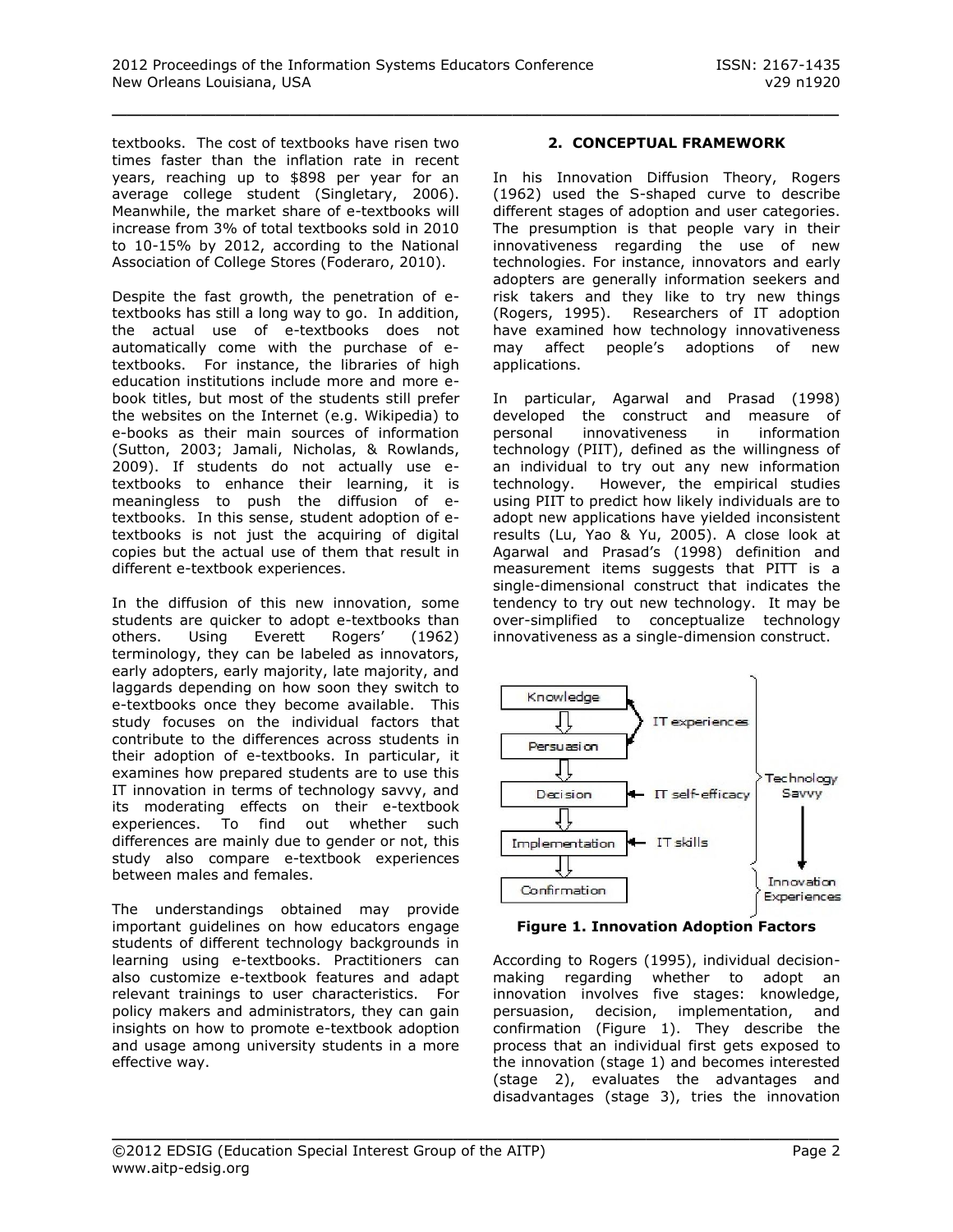textbooks. The cost of textbooks have risen two times faster than the inflation rate in recent years, reaching up to \$898 per year for an average college student (Singletary, 2006). Meanwhile, the market share of e-textbooks will increase from 3% of total textbooks sold in 2010 to 10-15% by 2012, according to the National Association of College Stores (Foderaro, 2010).

Despite the fast growth, the penetration of etextbooks has still a long way to go. In addition, the actual use of e-textbooks does not automatically come with the purchase of etextbooks. For instance, the libraries of high education institutions include more and more ebook titles, but most of the students still prefer the websites on the Internet (e.g. Wikipedia) to e-books as their main sources of information (Sutton, 2003; Jamali, Nicholas, & Rowlands, 2009). If students do not actually use etextbooks to enhance their learning, it is meaningless to push the diffusion of etextbooks. In this sense, student adoption of etextbooks is not just the acquiring of digital copies but the actual use of them that result in different e-textbook experiences.

In the diffusion of this new innovation, some students are quicker to adopt e-textbooks than others. Using Everett Rogers' (1962) terminology, they can be labeled as innovators, early adopters, early majority, late majority, and laggards depending on how soon they switch to e-textbooks once they become available. This study focuses on the individual factors that contribute to the differences across students in their adoption of e-textbooks. In particular, it examines how prepared students are to use this IT innovation in terms of technology savvy, and its moderating effects on their e-textbook experiences. To find out whether such differences are mainly due to gender or not, this study also compare e-textbook experiences between males and females.

The understandings obtained may provide important guidelines on how educators engage students of different technology backgrounds in learning using e-textbooks. Practitioners can also customize e-textbook features and adapt relevant trainings to user characteristics. For policy makers and administrators, they can gain insights on how to promote e-textbook adoption and usage among university students in a more effective way.

# **2. CONCEPTUAL FRAMEWORK**

In his Innovation Diffusion Theory, Rogers (1962) used the S-shaped curve to describe different stages of adoption and user categories. The presumption is that people vary in their innovativeness regarding the use of new technologies. For instance, innovators and early adopters are generally information seekers and risk takers and they like to try new things (Rogers, 1995). Researchers of IT adoption have examined how technology innovativeness may affect people's adoptions of new applications.

In particular, Agarwal and Prasad (1998) developed the construct and measure of personal innovativeness in information technology (PIIT), defined as the willingness of an individual to try out any new information technology. However, the empirical studies using PIIT to predict how likely individuals are to adopt new applications have yielded inconsistent results (Lu, Yao & Yu, 2005). A close look at Agarwal and Prasad's (1998) definition and measurement items suggests that PITT is a single-dimensional construct that indicates the tendency to try out new technology. It may be over-simplified to conceptualize technology innovativeness as a single-dimension construct.



**Figure 1. Innovation Adoption Factors**

According to Rogers (1995), individual decisionmaking regarding whether to adopt an innovation involves five stages: knowledge, persuasion, decision, implementation, and confirmation (Figure 1). They describe the process that an individual first gets exposed to the innovation (stage 1) and becomes interested (stage 2), evaluates the advantages and disadvantages (stage 3), tries the innovation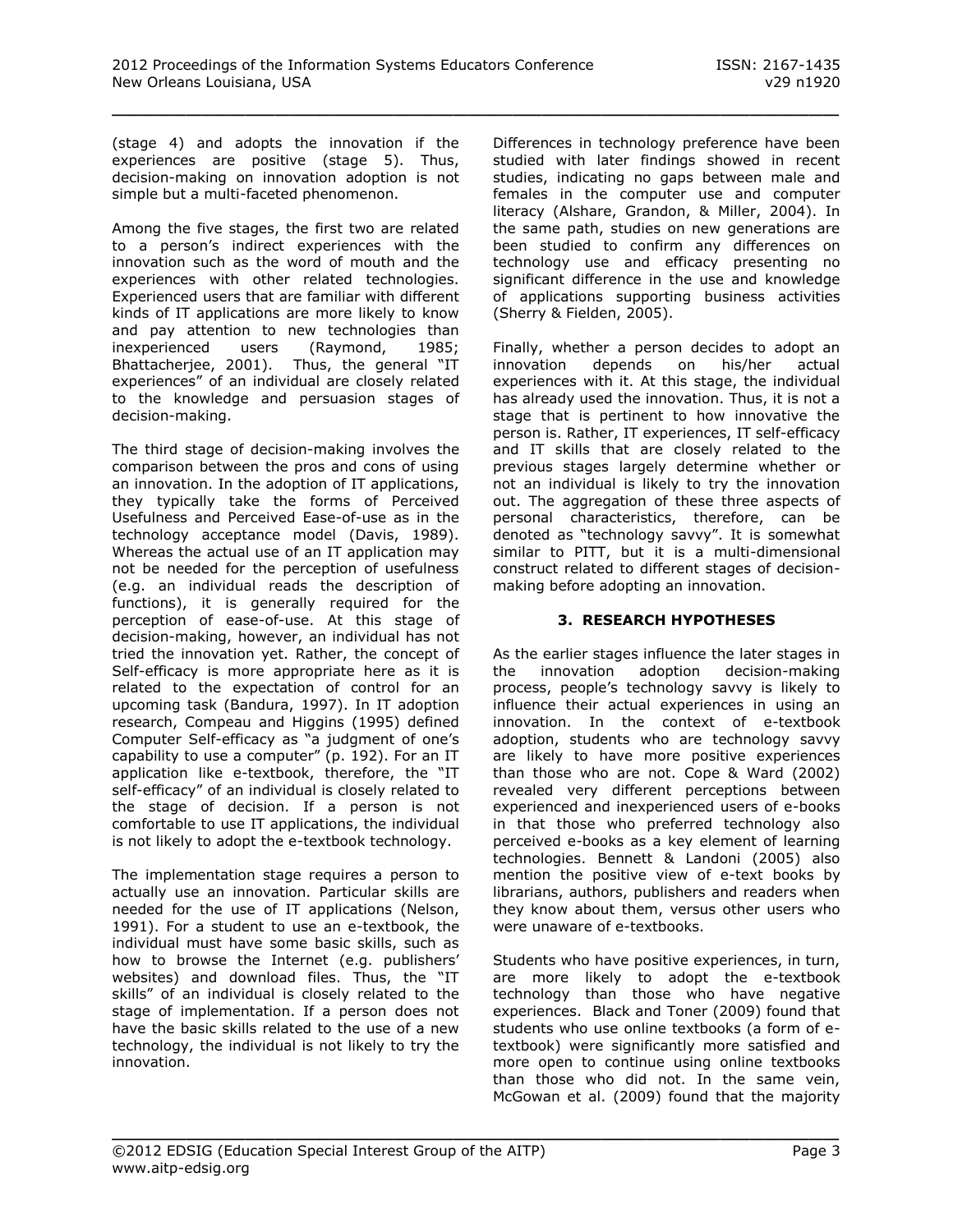(stage 4) and adopts the innovation if the experiences are positive (stage 5). Thus, decision-making on innovation adoption is not simple but a multi-faceted phenomenon.

Among the five stages, the first two are related to a person's indirect experiences with the innovation such as the word of mouth and the experiences with other related technologies. Experienced users that are familiar with different kinds of IT applications are more likely to know and pay attention to new technologies than inexperienced users (Raymond, 1985; Bhattacherjee, 2001). Thus, the general "IT experiences" of an individual are closely related to the knowledge and persuasion stages of decision-making.

The third stage of decision-making involves the comparison between the pros and cons of using an innovation. In the adoption of IT applications, they typically take the forms of Perceived Usefulness and Perceived Ease-of-use as in the technology acceptance model (Davis, 1989). Whereas the actual use of an IT application may not be needed for the perception of usefulness (e.g. an individual reads the description of functions), it is generally required for the perception of ease-of-use. At this stage of decision-making, however, an individual has not tried the innovation yet. Rather, the concept of Self-efficacy is more appropriate here as it is related to the expectation of control for an upcoming task (Bandura, 1997). In IT adoption research, Compeau and Higgins (1995) defined Computer Self-efficacy as "a judgment of one's capability to use a computer" (p. 192). For an IT application like e-textbook, therefore, the "IT self-efficacy" of an individual is closely related to the stage of decision. If a person is not comfortable to use IT applications, the individual is not likely to adopt the e-textbook technology.

The implementation stage requires a person to actually use an innovation. Particular skills are needed for the use of IT applications (Nelson, 1991). For a student to use an e-textbook, the individual must have some basic skills, such as how to browse the Internet (e.g. publishers' websites) and download files. Thus, the "IT skills" of an individual is closely related to the stage of implementation. If a person does not have the basic skills related to the use of a new technology, the individual is not likely to try the innovation.

Differences in technology preference have been studied with later findings showed in recent studies, indicating no gaps between male and females in the computer use and computer literacy (Alshare, Grandon, & Miller, 2004). In the same path, studies on new generations are been studied to confirm any differences on technology use and efficacy presenting no significant difference in the use and knowledge of applications supporting business activities (Sherry & Fielden, 2005).

Finally, whether a person decides to adopt an innovation depends on his/her actual experiences with it. At this stage, the individual has already used the innovation. Thus, it is not a stage that is pertinent to how innovative the person is. Rather, IT experiences, IT self-efficacy and IT skills that are closely related to the previous stages largely determine whether or not an individual is likely to try the innovation out. The aggregation of these three aspects of personal characteristics, therefore, can be denoted as "technology savvy". It is somewhat similar to PITT, but it is a multi-dimensional construct related to different stages of decisionmaking before adopting an innovation.

### **3. RESEARCH HYPOTHESES**

As the earlier stages influence the later stages in the innovation adoption decision-making process, people's technology savvy is likely to influence their actual experiences in using an innovation. In the context of e-textbook adoption, students who are technology savvy are likely to have more positive experiences than those who are not. Cope & Ward (2002) revealed very different perceptions between experienced and inexperienced users of e-books in that those who preferred technology also perceived e-books as a key element of learning technologies. Bennett & Landoni (2005) also mention the positive view of e-text books by librarians, authors, publishers and readers when they know about them, versus other users who were unaware of e-textbooks.

Students who have positive experiences, in turn, are more likely to adopt the e-textbook technology than those who have negative experiences. Black and Toner (2009) found that students who use online textbooks (a form of etextbook) were significantly more satisfied and more open to continue using online textbooks than those who did not. In the same vein, McGowan et al. (2009) found that the majority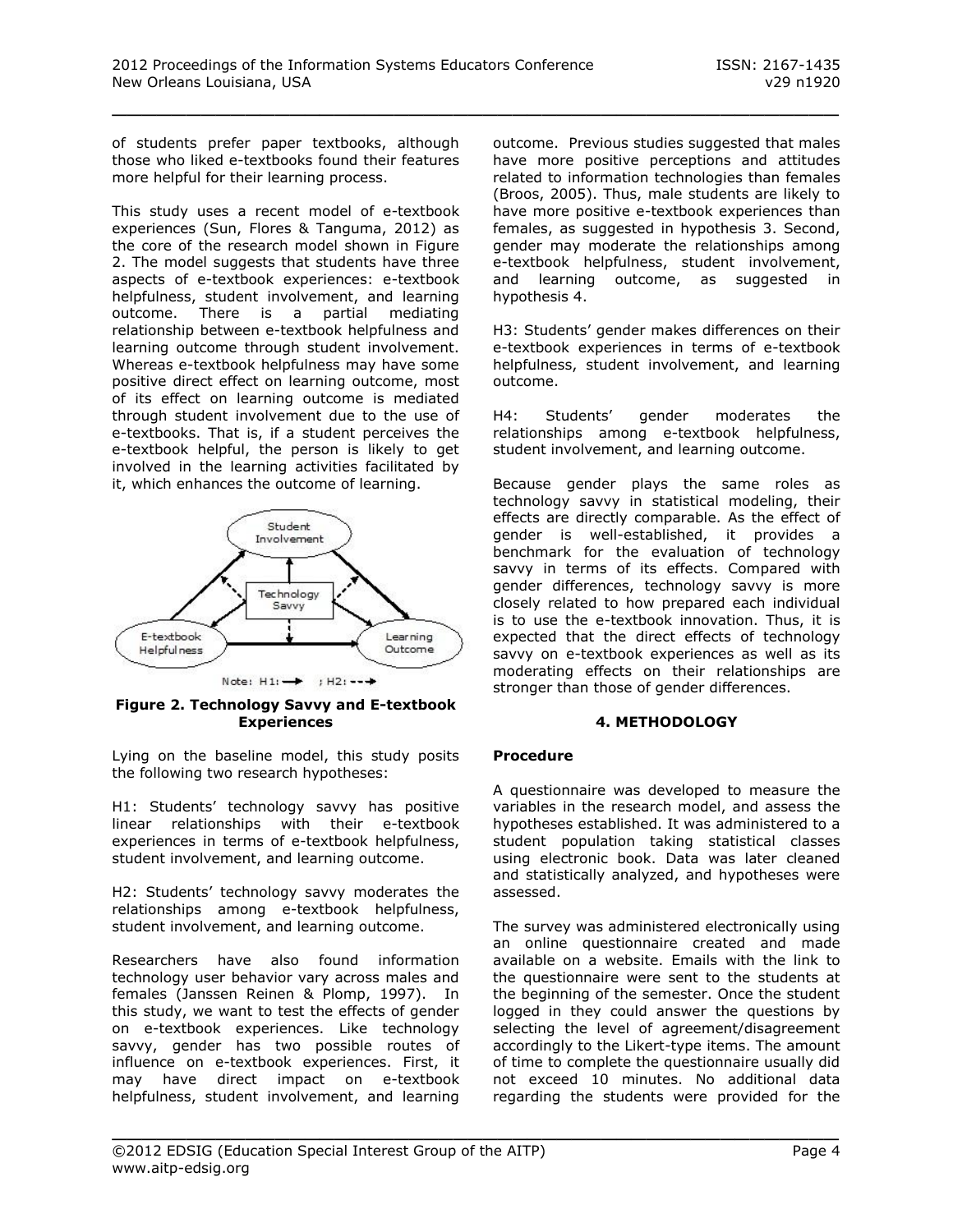of students prefer paper textbooks, although those who liked e-textbooks found their features more helpful for their learning process.

This study uses a recent model of e-textbook experiences (Sun, Flores & Tanguma, 2012) as the core of the research model shown in Figure 2. The model suggests that students have three aspects of e-textbook experiences: e-textbook helpfulness, student involvement, and learning outcome. There is a partial mediating relationship between e-textbook helpfulness and learning outcome through student involvement. Whereas e-textbook helpfulness may have some positive direct effect on learning outcome, most of its effect on learning outcome is mediated through student involvement due to the use of e-textbooks. That is, if a student perceives the e-textbook helpful, the person is likely to get involved in the learning activities facilitated by it, which enhances the outcome of learning.



**Figure 2. Technology Savvy and E-textbook Experiences**

Lying on the baseline model, this study posits the following two research hypotheses:

H1: Students' technology savvy has positive linear relationships with their e-textbook experiences in terms of e-textbook helpfulness, student involvement, and learning outcome.

H2: Students' technology savvy moderates the relationships among e-textbook helpfulness, student involvement, and learning outcome.

Researchers have also found information technology user behavior vary across males and females (Janssen Reinen & Plomp, 1997). In this study, we want to test the effects of gender on e-textbook experiences. Like technology savvy, gender has two possible routes of influence on e-textbook experiences. First, it may have direct impact on e-textbook helpfulness, student involvement, and learning outcome. Previous studies suggested that males have more positive perceptions and attitudes related to information technologies than females (Broos, 2005). Thus, male students are likely to have more positive e-textbook experiences than females, as suggested in hypothesis 3. Second, gender may moderate the relationships among e-textbook helpfulness, student involvement, and learning outcome, as suggested in hypothesis 4.

H3: Students' gender makes differences on their e-textbook experiences in terms of e-textbook helpfulness, student involvement, and learning outcome.

H4: Students' gender moderates the relationships among e-textbook helpfulness, student involvement, and learning outcome.

Because gender plays the same roles as technology savvy in statistical modeling, their effects are directly comparable. As the effect of gender is well-established, it provides a benchmark for the evaluation of technology savvy in terms of its effects. Compared with gender differences, technology savvy is more closely related to how prepared each individual is to use the e-textbook innovation. Thus, it is expected that the direct effects of technology savvy on e-textbook experiences as well as its moderating effects on their relationships are stronger than those of gender differences.

#### **4. METHODOLOGY**

#### **Procedure**

\_\_\_\_\_\_\_\_\_\_\_\_\_\_\_\_\_\_\_\_\_\_\_\_\_\_\_\_\_\_\_\_\_\_\_\_\_\_\_\_\_\_\_\_\_\_\_\_\_

A questionnaire was developed to measure the variables in the research model, and assess the hypotheses established. It was administered to a student population taking statistical classes using electronic book. Data was later cleaned and statistically analyzed, and hypotheses were assessed.

The survey was administered electronically using an online questionnaire created and made available on a website. Emails with the link to the questionnaire were sent to the students at the beginning of the semester. Once the student logged in they could answer the questions by selecting the level of agreement/disagreement accordingly to the Likert-type items. The amount of time to complete the questionnaire usually did not exceed 10 minutes. No additional data regarding the students were provided for the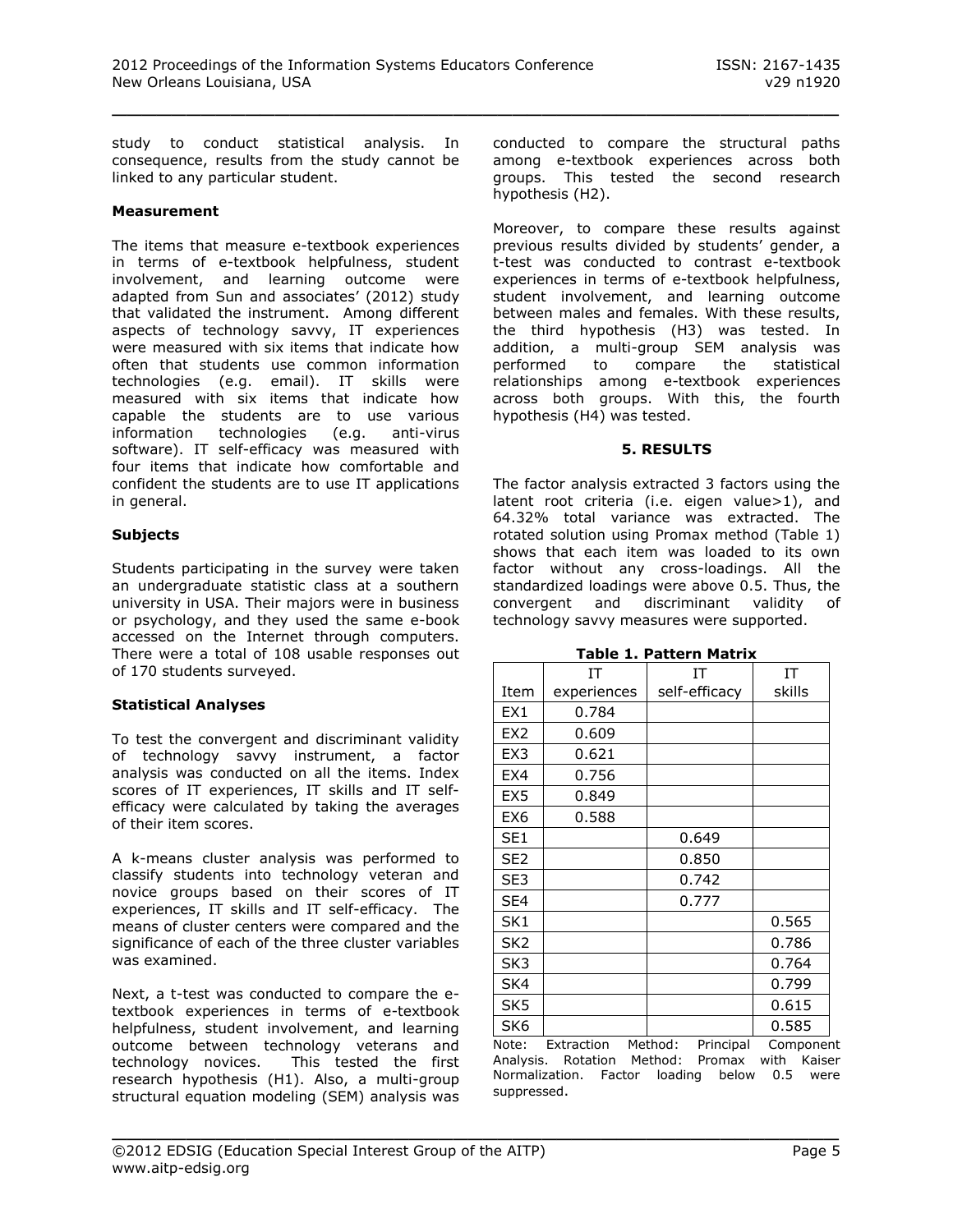study to conduct statistical analysis. In consequence, results from the study cannot be linked to any particular student.

#### **Measurement**

The items that measure e-textbook experiences in terms of e-textbook helpfulness, student involvement, and learning outcome were adapted from Sun and associates' (2012) study that validated the instrument. Among different aspects of technology savvy, IT experiences were measured with six items that indicate how often that students use common information technologies (e.g. email). IT skills were measured with six items that indicate how capable the students are to use various information technologies (e.g. anti-virus software). IT self-efficacy was measured with four items that indicate how comfortable and confident the students are to use IT applications in general.

#### **Subjects**

Students participating in the survey were taken an undergraduate statistic class at a southern university in USA. Their majors were in business or psychology, and they used the same e-book accessed on the Internet through computers. There were a total of 108 usable responses out of 170 students surveyed.

# **Statistical Analyses**

To test the convergent and discriminant validity of technology savvy instrument, a factor analysis was conducted on all the items. Index scores of IT experiences, IT skills and IT selfefficacy were calculated by taking the averages of their item scores.

A k-means cluster analysis was performed to classify students into technology veteran and novice groups based on their scores of IT experiences, IT skills and IT self-efficacy. The means of cluster centers were compared and the significance of each of the three cluster variables was examined.

Next, a t-test was conducted to compare the etextbook experiences in terms of e-textbook helpfulness, student involvement, and learning outcome between technology veterans and technology novices. This tested the first research hypothesis (H1). Also, a multi-group structural equation modeling (SEM) analysis was conducted to compare the structural paths among e-textbook experiences across both groups. This tested the second research hypothesis (H2).

Moreover, to compare these results against previous results divided by students' gender, a t-test was conducted to contrast e-textbook experiences in terms of e-textbook helpfulness, student involvement, and learning outcome between males and females. With these results, the third hypothesis (H3) was tested. In addition, a multi-group SEM analysis was performed to compare the statistical relationships among e-textbook experiences across both groups. With this, the fourth hypothesis (H4) was tested.

#### **5. RESULTS**

The factor analysis extracted 3 factors using the latent root criteria (i.e. eigen value>1), and 64.32% total variance was extracted. The rotated solution using Promax method (Table 1) shows that each item was loaded to its own factor without any cross-loadings. All the standardized loadings were above 0.5. Thus, the convergent and discriminant validity of technology savvy measures were supported.

|                 | IT          | ΙT                   | IΤ       |
|-----------------|-------------|----------------------|----------|
| Item            | experiences | self-efficacy        | skills   |
| EX1             | 0.784       |                      |          |
| EX <sub>2</sub> | 0.609       |                      |          |
| EX <sub>3</sub> | 0.621       |                      |          |
| EX4             | 0.756       |                      |          |
| EX <sub>5</sub> | 0.849       |                      |          |
| EX <sub>6</sub> | 0.588       |                      |          |
| SE <sub>1</sub> |             | 0.649                |          |
| SE <sub>2</sub> |             | 0.850                |          |
| SE3             |             | 0.742                |          |
| SE4             |             | 0.777                |          |
| SK1             |             |                      | 0.565    |
| SK <sub>2</sub> |             |                      | 0.786    |
| SK3             |             |                      | 0.764    |
| SK4             |             |                      | 0.799    |
| SK <sub>5</sub> |             |                      | 0.615    |
| SK <sub>6</sub> |             |                      | 0.585    |
| Note:           | Extraction  | Method:<br>Principal | Componen |

**Table 1. Pattern Matrix**

Note: Extraction Method: Principal Component Analysis. Rotation Method: Promax with Kaiser Normalization. Factor loading below 0.5 were suppressed.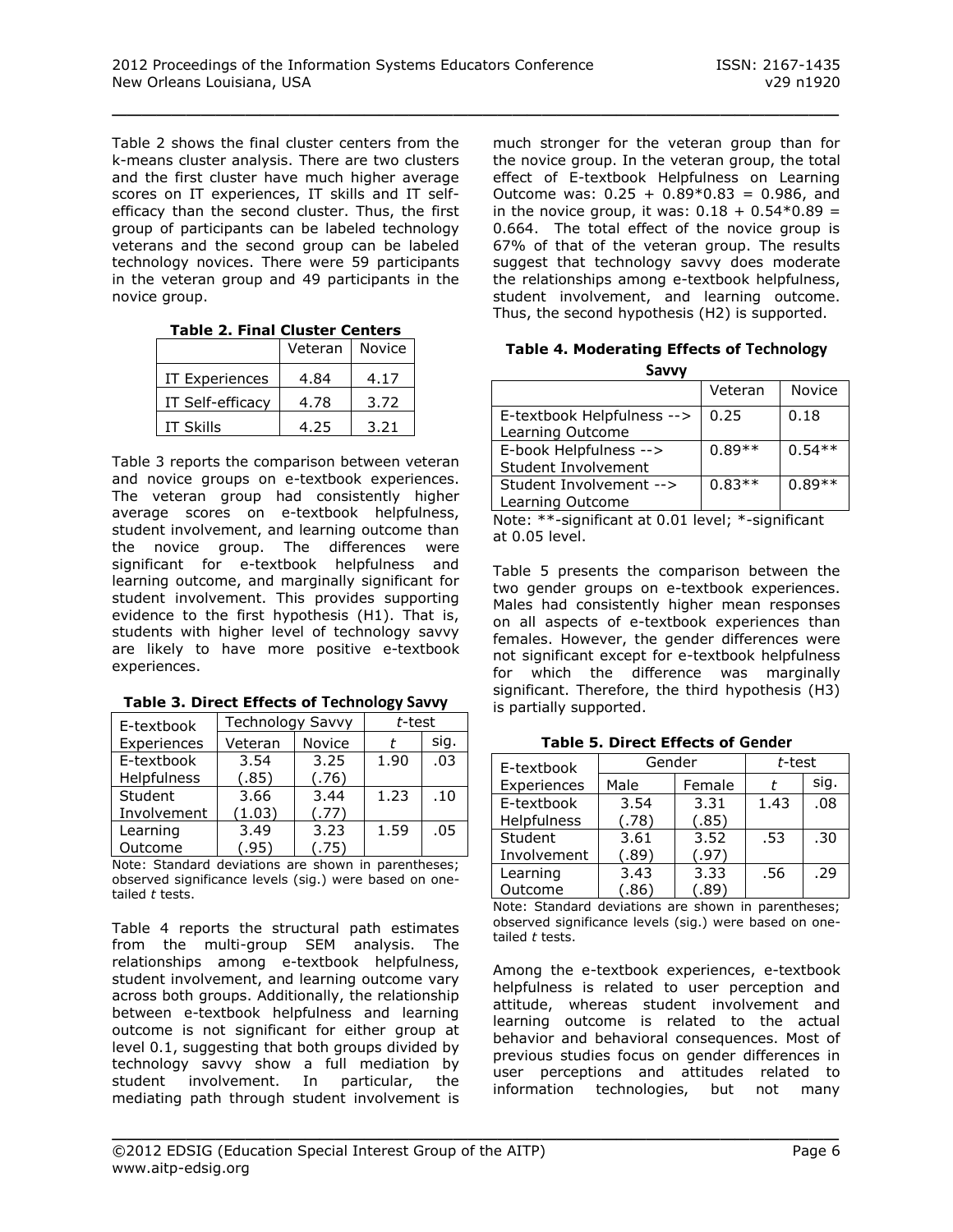Table 2 shows the final cluster centers from the k-means cluster analysis. There are two clusters and the first cluster have much higher average scores on IT experiences, IT skills and IT selfefficacy than the second cluster. Thus, the first group of participants can be labeled technology veterans and the second group can be labeled technology novices. There were 59 participants in the veteran group and 49 participants in the novice group.

**Table 2. Final Cluster Centers**

|                       | Veteran | <b>Novice</b> |
|-----------------------|---------|---------------|
| <b>IT Experiences</b> | 4.84    | 4.17          |
| IT Self-efficacv      | 4.78    | 3.72          |
| <b>IT Skills</b>      | 4.25    | 3.21          |

Table 3 reports the comparison between veteran and novice groups on e-textbook experiences. The veteran group had consistently higher average scores on e-textbook helpfulness, student involvement, and learning outcome than the novice group. The differences were significant for e-textbook helpfulness and learning outcome, and marginally significant for student involvement. This provides supporting evidence to the first hypothesis (H1). That is, students with higher level of technology savvy are likely to have more positive e-textbook experiences.

|  |  |  |  | Table 3. Direct Effects of Technology Savvy |
|--|--|--|--|---------------------------------------------|
|--|--|--|--|---------------------------------------------|

| E-textbook  | Technology Savvy |        | t-test |      |
|-------------|------------------|--------|--------|------|
| Experiences | Veteran          | Novice |        | sig. |
| E-textbook  | 3.54             | 3.25   | 1.90   | .03  |
| Helpfulness | (.85)            | (.76)  |        |      |
| Student     | 3.66             | 3.44   | 1.23   | .10  |
| Involvement | (1.03)           | (.77)  |        |      |
| Learning    | 3.49             | 3.23   | 1.59   | .05  |
| Outcome     | (.95)            | (.75)  |        |      |

Note: Standard deviations are shown in parentheses; observed significance levels (sig.) were based on onetailed *t* tests.

Table 4 reports the structural path estimates from the multi-group SEM analysis. The relationships among e-textbook helpfulness, student involvement, and learning outcome vary across both groups. Additionally, the relationship between e-textbook helpfulness and learning outcome is not significant for either group at level 0.1, suggesting that both groups divided by technology savvy show a full mediation by student involvement. In particular, the mediating path through student involvement is

much stronger for the veteran group than for the novice group. In the veteran group, the total effect of E-textbook Helpfulness on Learning Outcome was:  $0.25 + 0.89 * 0.83 = 0.986$ , and in the novice group, it was:  $0.18 + 0.54 * 0.89 =$ 0.664. The total effect of the novice group is 67% of that of the veteran group. The results suggest that technology savvy does moderate the relationships among e-textbook helpfulness, student involvement, and learning outcome. Thus, the second hypothesis (H2) is supported.

**Table 4. Moderating Effects of Technology Savvy**

|                                                | Veteran  | Novice   |
|------------------------------------------------|----------|----------|
| E-textbook Helpfulness --><br>Learning Outcome | 0.25     | 0.18     |
| E-book Helpfulness --><br>Student Involvement  | $0.89**$ | $0.54**$ |
| Student Involvement --><br>Learning Outcome    | $0.83**$ | $0.89**$ |

Note: \*\*-significant at 0.01 level; \*-significant at 0.05 level.

Table 5 presents the comparison between the two gender groups on e-textbook experiences. Males had consistently higher mean responses on all aspects of e-textbook experiences than females. However, the gender differences were not significant except for e-textbook helpfulness for which the difference was marginally significant. Therefore, the third hypothesis (H3) is partially supported.

| E-textbook  | Gender                  |        | t-test |      |
|-------------|-------------------------|--------|--------|------|
| Experiences | Male                    | Female |        | sig. |
| E-textbook  | 3.54                    | 3.31   | 1.43   | .08  |
| Helpfulness | (.78)                   | (.85)  |        |      |
| Student     | 3.61                    | 3.52   | .53    | .30  |
| Involvement | (.89)                   | (.97)  |        |      |
| Learning    | 3.43                    | 3.33   | .56    | .29  |
| Outcome     | $^{\prime}.86^{\prime}$ | (.89)  |        |      |

**Table 5. Direct Effects of Gender**

Note: Standard deviations are shown in parentheses; observed significance levels (sig.) were based on onetailed *t* tests.

Among the e-textbook experiences, e-textbook helpfulness is related to user perception and attitude, whereas student involvement and learning outcome is related to the actual behavior and behavioral consequences. Most of previous studies focus on gender differences in user perceptions and attitudes related to information technologies, but not many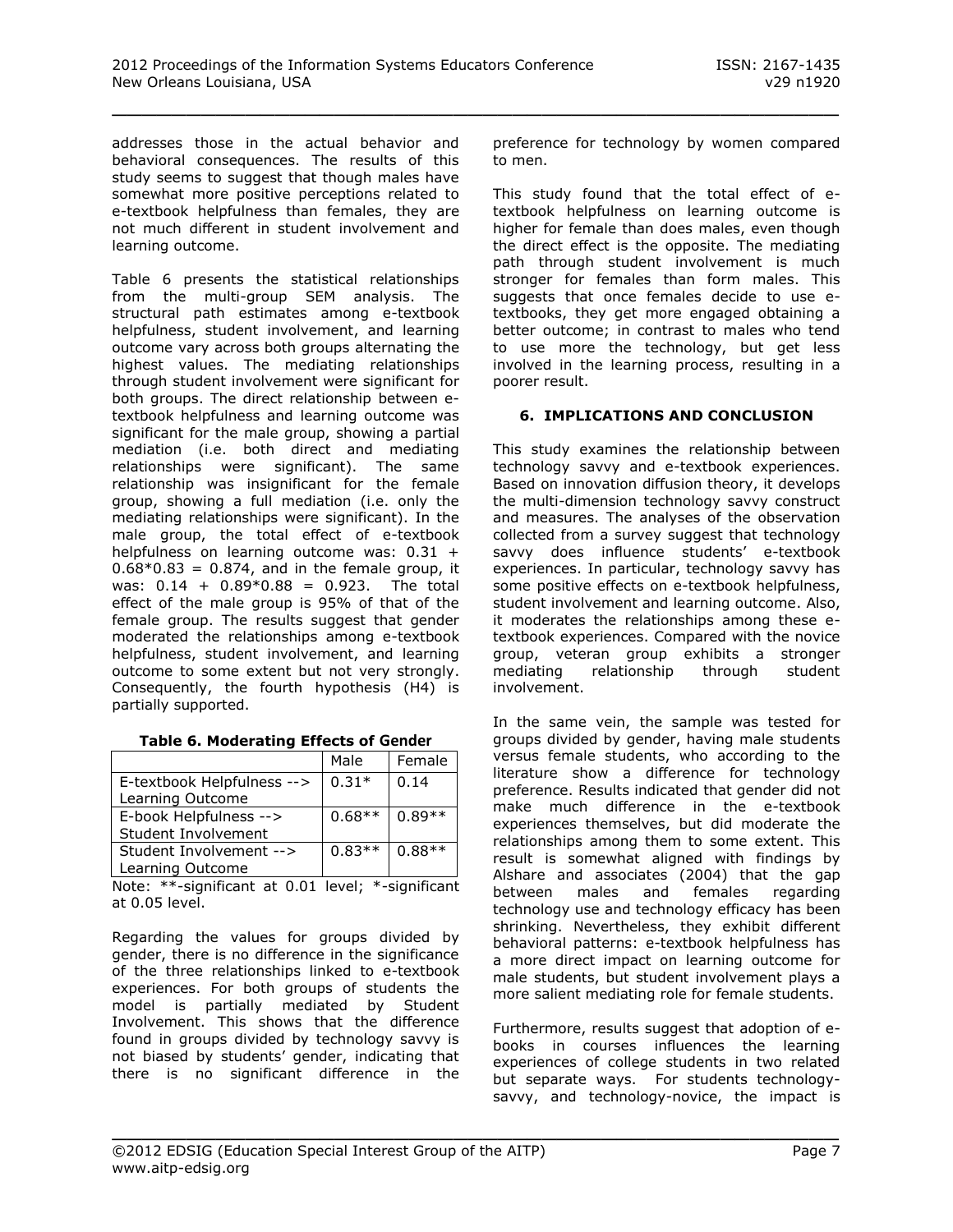addresses those in the actual behavior and behavioral consequences. The results of this study seems to suggest that though males have somewhat more positive perceptions related to e-textbook helpfulness than females, they are not much different in student involvement and learning outcome.

Table 6 presents the statistical relationships from the multi-group SEM analysis. The structural path estimates among e-textbook helpfulness, student involvement, and learning outcome vary across both groups alternating the highest values. The mediating relationships through student involvement were significant for both groups. The direct relationship between etextbook helpfulness and learning outcome was significant for the male group, showing a partial mediation (i.e. both direct and mediating relationships were significant). The same relationship was insignificant for the female group, showing a full mediation (i.e. only the mediating relationships were significant). In the male group, the total effect of e-textbook helpfulness on learning outcome was: 0.31 +  $0.68*0.83 = 0.874$ , and in the female group, it was:  $0.14 + 0.89*0.88 = 0.923$ . The total effect of the male group is 95% of that of the female group. The results suggest that gender moderated the relationships among e-textbook helpfulness, student involvement, and learning outcome to some extent but not very strongly. Consequently, the fourth hypothesis (H4) is partially supported.

|                            | Male     | Female   |
|----------------------------|----------|----------|
| E-textbook Helpfulness --> | $0.31*$  | 0.14     |
| Learning Outcome           |          |          |
| E-book Helpfulness -->     | $0.68**$ | $0.89**$ |
| Student Involvement        |          |          |
| Student Involvement -->    | $0.83**$ | $0.88**$ |
| Learning Outcome           |          |          |

**Table 6. Moderating Effects of Gender**

Note: \*\*-significant at 0.01 level; \*-significant at 0.05 level.

Regarding the values for groups divided by gender, there is no difference in the significance of the three relationships linked to e-textbook experiences. For both groups of students the model is partially mediated by Student Involvement. This shows that the difference found in groups divided by technology savvy is not biased by students' gender, indicating that there is no significant difference in the preference for technology by women compared to men.

This study found that the total effect of etextbook helpfulness on learning outcome is higher for female than does males, even though the direct effect is the opposite. The mediating path through student involvement is much stronger for females than form males. This suggests that once females decide to use etextbooks, they get more engaged obtaining a better outcome; in contrast to males who tend to use more the technology, but get less involved in the learning process, resulting in a poorer result.

# **6. IMPLICATIONS AND CONCLUSION**

This study examines the relationship between technology savvy and e-textbook experiences. Based on innovation diffusion theory, it develops the multi-dimension technology savvy construct and measures. The analyses of the observation collected from a survey suggest that technology savvy does influence students' e-textbook experiences. In particular, technology savvy has some positive effects on e-textbook helpfulness, student involvement and learning outcome. Also, it moderates the relationships among these etextbook experiences. Compared with the novice group, veteran group exhibits a stronger mediating relationship through student involvement.

In the same vein, the sample was tested for groups divided by gender, having male students versus female students, who according to the literature show a difference for technology preference. Results indicated that gender did not make much difference in the e-textbook experiences themselves, but did moderate the relationships among them to some extent. This result is somewhat aligned with findings by Alshare and associates (2004) that the gap between males and females regarding technology use and technology efficacy has been shrinking. Nevertheless, they exhibit different behavioral patterns: e-textbook helpfulness has a more direct impact on learning outcome for male students, but student involvement plays a more salient mediating role for female students.

Furthermore, results suggest that adoption of ebooks in courses influences the learning experiences of college students in two related but separate ways. For students technologysavvy, and technology-novice, the impact is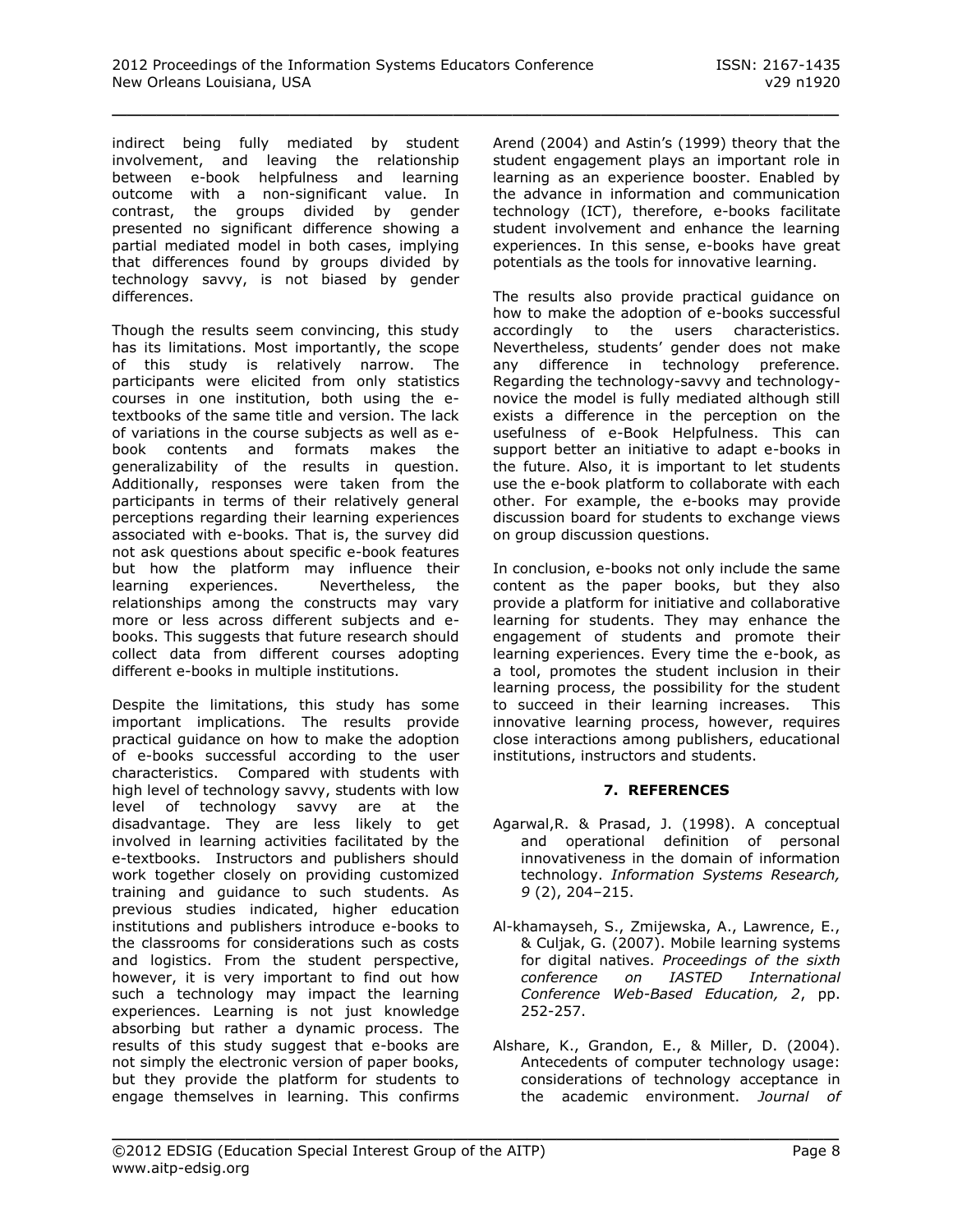indirect being fully mediated by student involvement, and leaving the relationship between e-book helpfulness and learning outcome with a non-significant value. In contrast, the groups divided by gender presented no significant difference showing a partial mediated model in both cases, implying that differences found by groups divided by technology savvy, is not biased by gender differences.

Though the results seem convincing, this study has its limitations. Most importantly, the scope of this study is relatively narrow. The participants were elicited from only statistics courses in one institution, both using the etextbooks of the same title and version. The lack of variations in the course subjects as well as ebook contents and formats makes the generalizability of the results in question. Additionally, responses were taken from the participants in terms of their relatively general perceptions regarding their learning experiences associated with e-books. That is, the survey did not ask questions about specific e-book features but how the platform may influence their learning experiences. Nevertheless, the relationships among the constructs may vary more or less across different subjects and ebooks. This suggests that future research should collect data from different courses adopting different e-books in multiple institutions.

Despite the limitations, this study has some important implications. The results provide practical guidance on how to make the adoption of e-books successful according to the user characteristics. Compared with students with high level of technology savvy, students with low level of technology savvy are at the disadvantage. They are less likely to get involved in learning activities facilitated by the e-textbooks. Instructors and publishers should work together closely on providing customized training and guidance to such students. As previous studies indicated, higher education institutions and publishers introduce e-books to the classrooms for considerations such as costs and logistics. From the student perspective, however, it is very important to find out how such a technology may impact the learning experiences. Learning is not just knowledge absorbing but rather a dynamic process. The results of this study suggest that e-books are not simply the electronic version of paper books, but they provide the platform for students to engage themselves in learning. This confirms

Arend (2004) and Astin's (1999) theory that the student engagement plays an important role in learning as an experience booster. Enabled by the advance in information and communication technology (ICT), therefore, e-books facilitate student involvement and enhance the learning experiences. In this sense, e-books have great potentials as the tools for innovative learning.

The results also provide practical guidance on how to make the adoption of e-books successful accordingly to the users characteristics. Nevertheless, students' gender does not make any difference in technology preference. Regarding the technology-savvy and technologynovice the model is fully mediated although still exists a difference in the perception on the usefulness of e-Book Helpfulness. This can support better an initiative to adapt e-books in the future. Also, it is important to let students use the e-book platform to collaborate with each other. For example, the e-books may provide discussion board for students to exchange views on group discussion questions.

In conclusion, e-books not only include the same content as the paper books, but they also provide a platform for initiative and collaborative learning for students. They may enhance the engagement of students and promote their learning experiences. Every time the e-book, as a tool, promotes the student inclusion in their learning process, the possibility for the student to succeed in their learning increases. This innovative learning process, however, requires close interactions among publishers, educational institutions, instructors and students.

# **7. REFERENCES**

- Agarwal,R. & Prasad, J. (1998). A conceptual and operational definition of personal innovativeness in the domain of information technology. *Information Systems Research, 9* (2), 204–215.
- Al-khamayseh, S., Zmijewska, A., Lawrence, E., & Culjak, G. (2007). Mobile learning systems for digital natives. *Proceedings of the sixth conference on IASTED International Conference Web-Based Education, 2*, pp. 252-257.
- Alshare, K., Grandon, E., & Miller, D. (2004). Antecedents of computer technology usage: considerations of technology acceptance in the academic environment. *Journal of*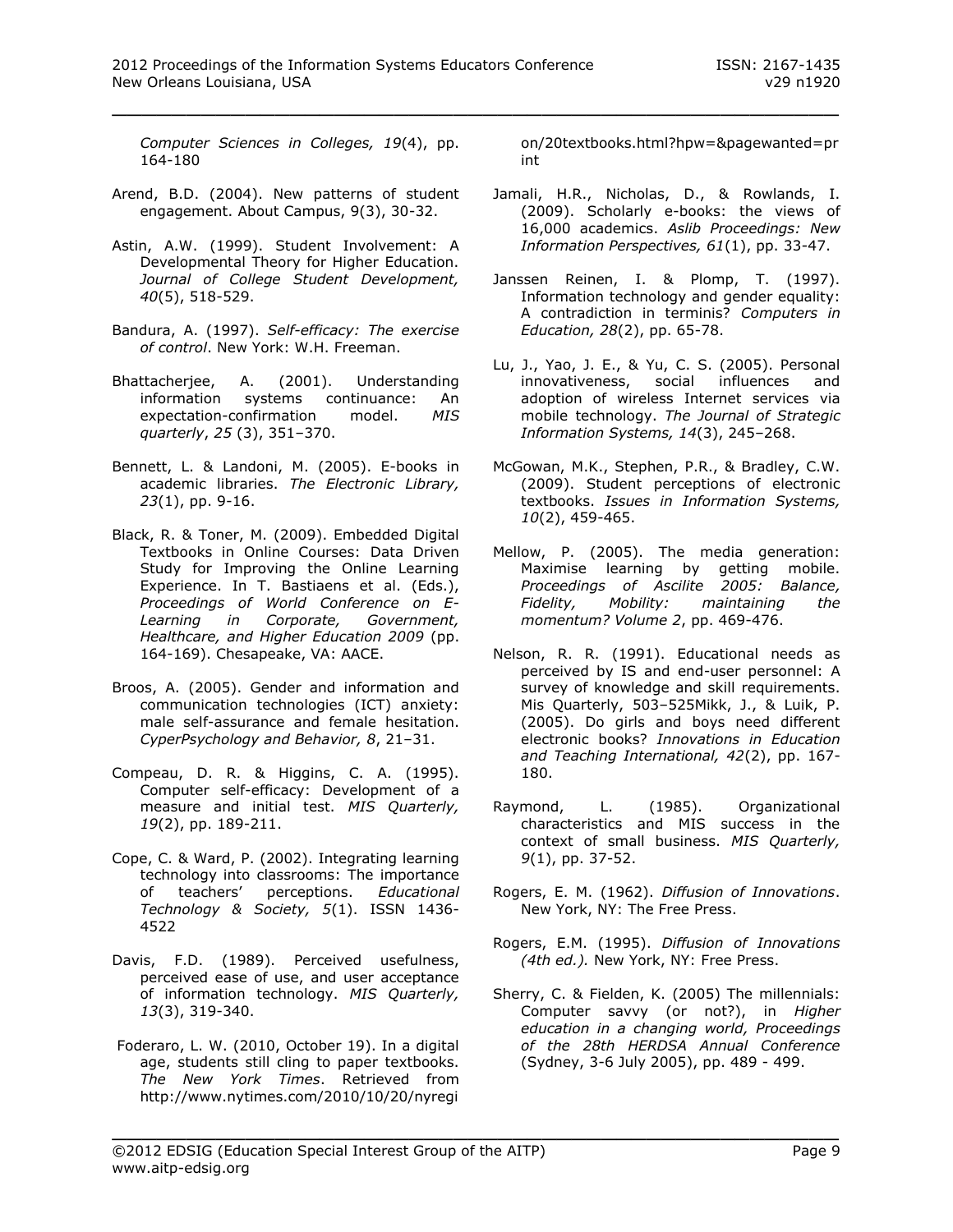*Computer Sciences in Colleges, 19*(4), pp. 164-180

- Arend, B.D. (2004). New patterns of student engagement. About Campus, 9(3), 30-32.
- Astin, A.W. (1999). Student Involvement: A Developmental Theory for Higher Education. *Journal of College Student Development, 40*(5), 518-529.
- Bandura, A. (1997). *Self-efficacy: The exercise of control*. New York: W.H. Freeman.
- Bhattacherjee, A. (2001). Understanding information systems continuance: An expectation-confirmation model. *MIS quarterly*, *25* (3), 351–370.
- Bennett, L. & Landoni, M. (2005). E-books in academic libraries. *The Electronic Library, 23*(1), pp. 9-16.
- Black, R. & Toner, M. (2009). Embedded Digital Textbooks in Online Courses: Data Driven Study for Improving the Online Learning Experience. In T. Bastiaens et al. (Eds.), *Proceedings of World Conference on E-Learning in Corporate, Government, Healthcare, and Higher Education 2009* (pp. 164-169). Chesapeake, VA: AACE.
- Broos, A. (2005). Gender and information and communication technologies (ICT) anxiety: male self-assurance and female hesitation. *CyperPsychology and Behavior, 8*, 21–31.
- Compeau, D. R. & Higgins, C. A. (1995). Computer self-efficacy: Development of a measure and initial test. *MIS Quarterly, 19*(2), pp. 189-211.
- Cope, C. & Ward, P. (2002). Integrating learning technology into classrooms: The importance of teachers' perceptions. *Educational Technology & Society, 5*(1). ISSN 1436- 4522
- Davis, F.D. (1989). Perceived usefulness, perceived ease of use, and user acceptance of information technology. *MIS Quarterly, 13*(3), 319-340.
- Foderaro, L. W. (2010, October 19). In a digital age, students still cling to paper textbooks. *The New York Times*. Retrieved from http://www.nytimes.com/2010/10/20/nyregi

on/20textbooks.html?hpw=&pagewanted=pr int

- Jamali, H.R., Nicholas, D., & Rowlands, I. (2009). Scholarly e-books: the views of 16,000 academics. *Aslib Proceedings: New Information Perspectives, 61*(1), pp. 33-47.
- Janssen Reinen, I. & Plomp, T. (1997). Information technology and gender equality: A contradiction in terminis? *Computers in Education, 28*(2), pp. 65-78.
- Lu, J., Yao, J. E., & Yu, C. S. (2005). Personal innovativeness, social influences and adoption of wireless Internet services via mobile technology. *The Journal of Strategic Information Systems, 14*(3), 245–268.
- McGowan, M.K., Stephen, P.R., & Bradley, C.W. (2009). Student perceptions of electronic textbooks. *Issues in Information Systems, 10*(2), 459-465.
- Mellow, P. (2005). The media generation: Maximise learning by getting mobile. *Proceedings of Ascilite 2005: Balance, Fidelity, Mobility: maintaining the momentum? Volume 2*, pp. 469-476.
- Nelson, R. R. (1991). Educational needs as perceived by IS and end-user personnel: A survey of knowledge and skill requirements. Mis Quarterly, 503–525Mikk, J., & Luik, P. (2005). Do girls and boys need different electronic books? *Innovations in Education and Teaching International, 42*(2), pp. 167- 180.
- Raymond, L. (1985). Organizational characteristics and MIS success in the context of small business. *MIS Quarterly, 9*(1), pp. 37-52.
- Rogers, E. M. (1962). *Diffusion of Innovations*. New York, NY: The Free Press.
- Rogers, E.M. (1995). *Diffusion of Innovations (4th ed.).* New York, NY: Free Press.
- Sherry, C. & Fielden, K. (2005) The millennials: Computer savvy (or not?), in *Higher education in a changing world, Proceedings of the 28th HERDSA Annual Conference* (Sydney, 3-6 July 2005), pp. 489 - 499.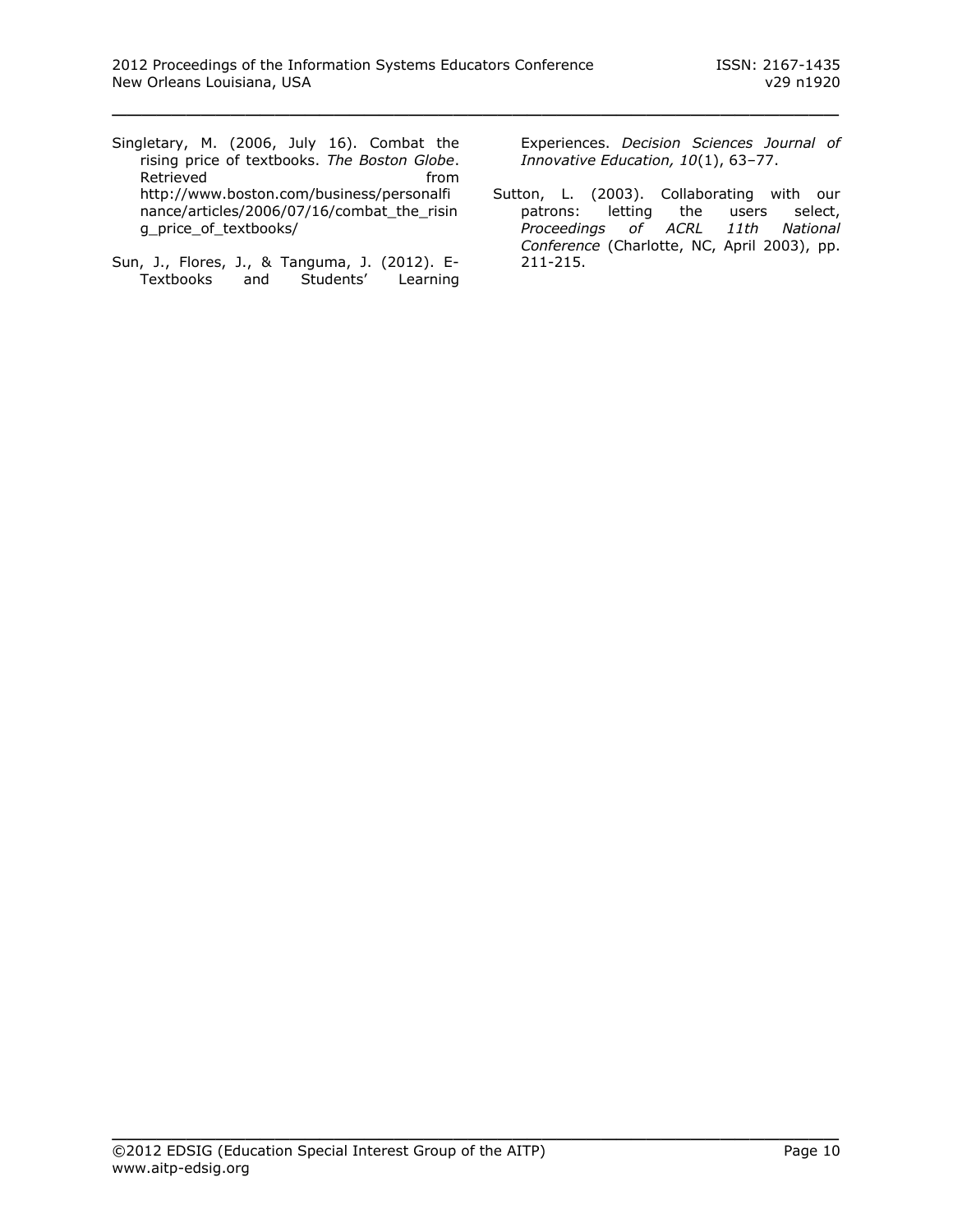- Singletary, M. (2006, July 16). Combat the rising price of textbooks. *The Boston Globe*. Retrieved **from** [http://www.boston.com/business/personalfi](http://www.boston.com/business/personalfinance/articles/2006/07/16/combat_the_rising_price_of_textbooks/) [nance/articles/2006/07/16/combat\\_the\\_risin](http://www.boston.com/business/personalfinance/articles/2006/07/16/combat_the_rising_price_of_textbooks/) [g\\_price\\_of\\_textbooks/](http://www.boston.com/business/personalfinance/articles/2006/07/16/combat_the_rising_price_of_textbooks/)
- Sun, J., Flores, J., & Tanguma, J. (2012). E-Textbooks and Students' Learning

Experiences. *Decision Sciences Journal of Innovative Education, 10*(1), 63–77.

Sutton, L. (2003). Collaborating with our patrons: letting the users select, *Proceedings of ACRL 11th National Conference* (Charlotte, NC, April 2003), pp. 211-215.